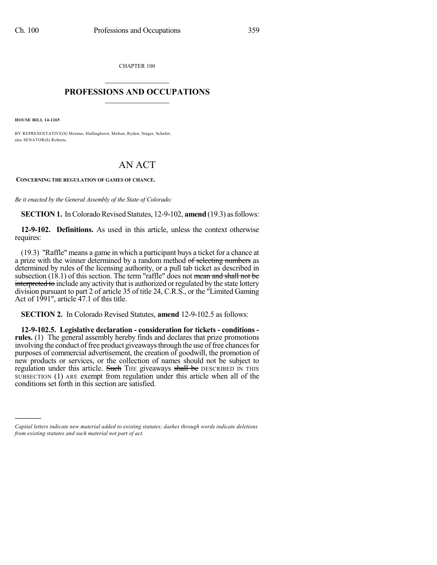CHAPTER 100  $\mathcal{L}_\text{max}$  . The set of the set of the set of the set of the set of the set of the set of the set of the set of the set of the set of the set of the set of the set of the set of the set of the set of the set of the set

## **PROFESSIONS AND OCCUPATIONS**  $\frac{1}{2}$  ,  $\frac{1}{2}$  ,  $\frac{1}{2}$  ,  $\frac{1}{2}$  ,  $\frac{1}{2}$  ,  $\frac{1}{2}$  ,  $\frac{1}{2}$

**HOUSE BILL 14-1265**

)))))

BY REPRESENTATIVE(S) Moreno, Hullinghorst, Melton, Ryden, Singer, Schafer; also SENATOR(S) Roberts.

## AN ACT

**CONCERNING THE REGULATION OF GAMES OF CHANCE.**

*Be it enacted by the General Assembly of the State of Colorado:*

**SECTION 1.** In Colorado Revised Statutes, 12-9-102, **amend** (19.3) as follows:

**12-9-102. Definitions.** As used in this article, unless the context otherwise requires:

(19.3) "Raffle" means a game in which a participant buys a ticket for a chance at a prize with the winner determined by a random method of selecting numbers as determined by rules of the licensing authority, or a pull tab ticket as described in subsection  $(18.1)$  of this section. The term "raffle" does not mean and shall not be interpreted to include any activity that is authorized or regulated by the state lottery division pursuant to part 2 of article 35 of title 24, C.R.S., or the "Limited Gaming Act of 1991", article 47.1 of this title.

**SECTION 2.** In Colorado Revised Statutes, **amend** 12-9-102.5 as follows:

**12-9-102.5. Legislative declaration - consideration for tickets - conditions**  rules. (1) The general assembly hereby finds and declares that prize promotions involving the conduct of free product giveaways through the use of free chances for purposes of commercial advertisement, the creation of goodwill, the promotion of new products or services, or the collection of names should not be subject to regulation under this article. Such THE giveaways shall be DESCRIBED IN THIS SUBSECTION (1) ARE exempt from regulation under this article when all of the conditions set forth in this section are satisfied.

*Capital letters indicate new material added to existing statutes; dashes through words indicate deletions from existing statutes and such material not part of act.*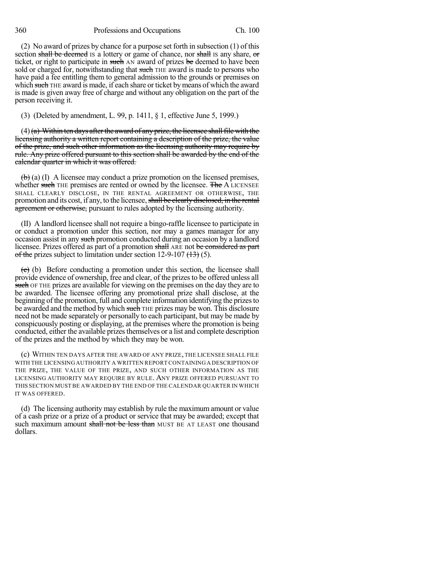360 Professions and Occupations Ch. 100

(2) No award of prizes by chance for a purpose set forth in subsection (1) of this section shall be deemed is a lottery or game of chance, nor shall is any share, or ticket, or right to participate in such AN award of prizes be deemed to have been sold or charged for, notwithstanding that such THE award is made to persons who have paid a fee entitling them to general admission to the grounds or premises on which such THE award is made, if each share or ticket by means of which the award is made is given away free of charge and without any obligation on the part of the person receiving it.

(3) (Deleted by amendment, L. 99, p. 1411, § 1, effective June 5, 1999.)

 $(4)$  (a) Within ten days after the award of any prize, the licensee shall file with the licensing authority a written report containing a description of the prize, the value of the prize, and such other information as the licensing authority may require by rule. Any prize offered pursuant to this section shall be awarded by the end of the calendar quarter in which it was offered.

 $\left(\mathbf{b}\right)$  (a) (I) A licensee may conduct a prize promotion on the licensed premises, whether such THE premises are rented or owned by the licensee. The A LICENSEE SHALL CLEARLY DISCLOSE, IN THE RENTAL AGREEMENT OR OTHERWISE, THE promotion and its cost, if any, to the licensee, shall be clearly disclosed, in the rental agreement or otherwise, pursuant to rules adopted by the licensing authority.

(II) A landlord licensee shall not require a bingo-raffle licensee to participate in or conduct a promotion under this section, nor may a games manager for any occasion assist in any such promotion conducted during an occasion by a landlord licensee. Prizes offered as part of a promotion shall ARE not be considered as part of the prizes subject to limitation under section 12-9-107  $(13)$  (5).

 $\overline{(e)}$  (b) Before conducting a promotion under this section, the licensee shall provide evidence of ownership, free and clear, of the prizes to be offered unless all such OF THE prizes are available for viewing on the premises on the day they are to be awarded. The licensee offering any promotional prize shall disclose, at the beginning of the promotion, full and complete information identifying the prizesto be awarded and the method by which such THE prizes may be won. This disclosure need not be made separately or personally to each participant, but may be made by conspicuously posting or displaying, at the premises where the promotion is being conducted, either the available prizes themselves or a list and complete description of the prizes and the method by which they may be won.

(c) WITHIN TEN DAYS AFTER THE AWARD OF ANY PRIZE, THE LICENSEE SHALL FILE WITH THE LICENSING AUTHORITY A WRITTEN REPORT CONTAINING A DESCRIPTION OF THE PRIZE, THE VALUE OF THE PRIZE, AND SUCH OTHER INFORMATION AS THE LICENSING AUTHORITY MAY REQUIRE BY RULE. ANY PRIZE OFFERED PURSUANT TO THIS SECTION MUSTBE AWARDED BY THE END OF THE CALENDAR QUARTER IN WHICH IT WAS OFFERED.

(d) The licensing authority may establish by rule the maximum amount or value of a cash prize or a prize of a product or service that may be awarded; except that such maximum amount shall not be less than MUST BE AT LEAST one thousand dollars.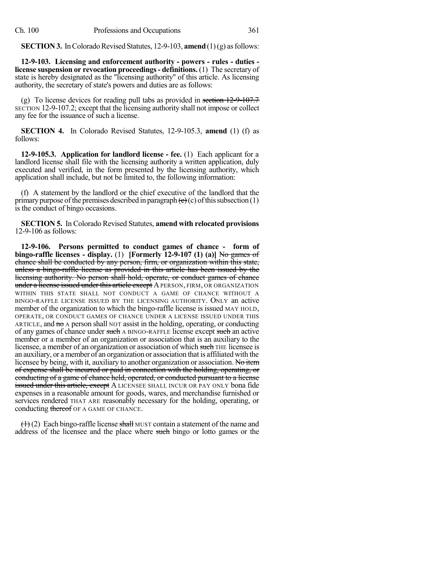**SECTION 3.** In Colorado Revised Statutes, 12-9-103, **amend** (1)(g) as follows:

**12-9-103. Licensing and enforcement authority - powers - rules - duties license suspension or revocation proceedings- definitions.** (1) The secretary of state is hereby designated as the "licensing authority" of this article. As licensing authority, the secretary of state's powers and duties are as follows:

(g) To license devices for reading pull tabs as provided in section  $12-9-107.7$ SECTION 12-9-107.2; except that the licensing authority shall not impose or collect any fee for the issuance of such a license.

**SECTION 4.** In Colorado Revised Statutes, 12-9-105.3, **amend** (1) (f) as follows:

**12-9-105.3. Application for landlord license - fee.** (1) Each applicant for a landlord license shall file with the licensing authority a written application, duly executed and verified, in the form presented by the licensing authority, which application shall include, but not be limited to, the following information:

(f) A statement by the landlord or the chief executive of the landlord that the primary purpose of the premises described in paragraph  $(e)(c)$  of this subsection (1) is the conduct of bingo occasions.

**SECTION 5.** In Colorado Revised Statutes, **amend with relocated provisions** 12-9-106 as follows:

**12-9-106. Persons permitted to conduct games of chance - form of bingo-raffle licenses - display.** (1) **[Formerly 12-9-107 (1) (a)]** No games of chance shall be conducted by any person, firm, or organization within this state, unless a bingo-raffle license as provided in this article has been issued by the licensing authority. No person shall hold, operate, or conduct games of chance under a license issued under this article except A PERSON, FIRM, OR ORGANIZATION WITHIN THIS STATE SHALL NOT CONDUCT A GAME OF CHANCE WITHOUT A BINGO-RAFFLE LICENSE ISSUED BY THE LICENSING AUTHORITY. ONLY an active member of the organization to which the bingo-raffle license is issued MAY HOLD, OPERATE, OR CONDUCT GAMES OF CHANCE UNDER A LICENSE ISSUED UNDER THIS ARTICLE, and  $m\sigma A$  person shall NOT assist in the holding, operating, or conducting of any games of chance under such A BINGO-RAFFLE license except such an active member or a member of an organization or association that is an auxiliary to the licensee, a member of an organization or association of which such THE licensee is an auxiliary, or amember of an organization or association that is affiliated with the licensee by being, with it, auxiliary to another organization or association. No item of expense shall be incurred or paid in connection with the holding, operating, or conducting of a game of chance held, operated, or conducted pursuant to a license **issued under this article, except** A LICENSEE SHALL INCUR OR PAY ONLY bona fide expenses in a reasonable amount for goods, wares, and merchandise furnished or services rendered THAT ARE reasonably necessary for the holding, operating, or conducting thereof OF A GAME OF CHANCE.

 $(1)$  (2) Each bingo-raffle license shall MUST contain a statement of the name and address of the licensee and the place where such bingo or lotto games or the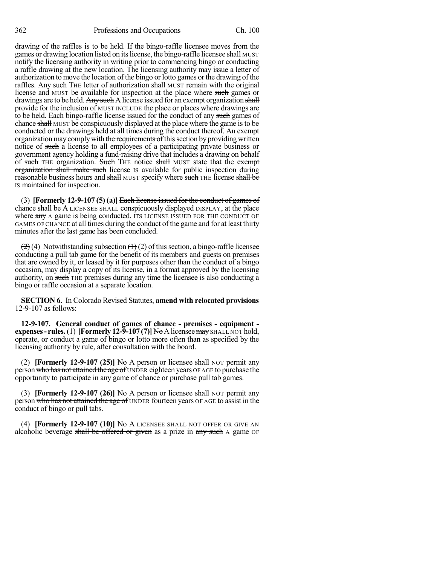362 Professions and Occupations Ch. 100

drawing of the raffles is to be held. If the bingo-raffle licensee moves from the games or drawing location listed on its license, the bingo-raffle licensee shall MUST notify the licensing authority in writing prior to commencing bingo or conducting a raffle drawing at the new location. The licensing authority may issue a letter of authorization to move the location of the bingo or lotto games or the drawing of the raffles. Any such THE letter of authorization shall MUST remain with the original license and MUST be available for inspection at the place where such games or drawings are to be held. Any such A license issued for an exempt organization shall provide for the inclusion of MUST INCLUDE the place or places where drawings are to be held. Each bingo-raffle license issued for the conduct of any such games of chance shall MUST be conspicuously displayed at the place where the game is to be conducted or the drawings held at all times during the conduct thereof. An exempt organization may comply with the requirements of this section by providing written notice of such a license to all employees of a participating private business or government agency holding a fund-raising drive that includes a drawing on behalf of such THE organization. Such THE notice shall MUST state that the exempt organization shall make such license is available for public inspection during reasonable business hours and shall MUST specify where such THE license shall be IS maintained for inspection.

(3) **[Formerly 12-9-107 (5) (a)]** Each license issued for the conduct of games of chance shall be A LICENSEE SHALL conspicuously displayed DISPLAY, at the place where any A game is being conducted, ITS LICENSE ISSUED FOR THE CONDUCT OF GAMES OF CHANCE at all times during the conduct of the game and for at least thirty minutes after the last game has been concluded.

 $(2)$  (4) Notwithstanding subsection  $(1)$  (2) of this section, a bingo-raffle licensee conducting a pull tab game for the benefit of its members and guests on premises that are owned by it, or leased by it for purposes other than the conduct of a bingo occasion, may display a copy of its license, in a format approved by the licensing authority, on such THE premises during any time the licensee is also conducting a bingo or raffle occasion at a separate location.

**SECTION 6.** In Colorado Revised Statutes, **amend with relocated provisions** 12-9-107 as follows:

**12-9-107. General conduct of games of chance - premises - equipment expenses- rules.**(1) **[Formerly 12-9-107 (7)]** NoAlicenseemay SHALL NOT hold, operate, or conduct a game of bingo or lotto more often than as specified by the licensing authority by rule, after consultation with the board.

(2) **[Formerly 12-9-107 (25)] No** A person or licensee shall NOT permit any person who has not attained the age of UNDER eighteen years OF AGE to purchase the opportunity to participate in any game of chance or purchase pull tab games.

(3) **[Formerly 12-9-107 (26)]** No A person or licensee shall NOT permit any person who has not attained the age of UNDER fourteen years OF AGE to assist in the conduct of bingo or pull tabs.

(4) **[Formerly 12-9-107 (10)]** No A LICENSEE SHALL NOT OFFER OR GIVE AN alcoholic beverage shall be offered or given as a prize in any such A game OF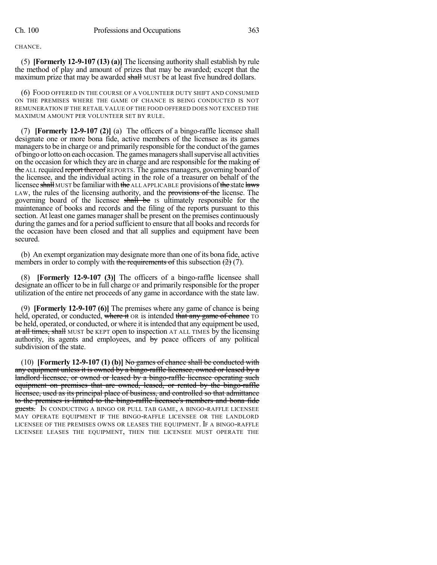CHANCE.

(5) **[Formerly 12-9-107 (13) (a)]** The licensing authority shall establish by rule the method of play and amount of prizes that may be awarded; except that the maximum prize that may be awarded shall MUST be at least five hundred dollars.

(6) FOOD OFFERED IN THE COURSE OF A VOLUNTEER DUTY SHIFT AND CONSUMED ON THE PREMISES WHERE THE GAME OF CHANCE IS BEING CONDUCTED IS NOT REMUNERATION IF THE RETAIL VALUE OF THE FOOD OFFERED DOES NOT EXCEED THE MAXIMUM AMOUNT PER VOLUNTEER SET BY RULE.

(7) **[Formerly 12-9-107 (2)]** (a) The officers of a bingo-raffle licensee shall designate one or more bona fide, active members of the licensee as its games managers to be in charge  $\sigma$ F and primarily responsible for the conduct of the games of bingo orlottoon each occasion.The gamesmanagersshallsupervise all activities on the occasion for which they are in charge and are responsible for the making of the ALL required report thereof REPORTS. The games managers, governing board of the licensee, and the individual acting in the role of a treasurer on behalf of the licensee shall MUST be familiar with the ALL APPLICABLE provisions of the state laws LAW, the rules of the licensing authority, and the provisions of the license. The governing board of the licensee shall be IS ultimately responsible for the maintenance of books and records and the filing of the reports pursuant to this section. At least one games manager shall be present on the premises continuously during the games and for a period sufficient to ensure that all books and records for the occasion have been closed and that all supplies and equipment have been secured.

(b) An exempt organization may designate more than one of its bona fide, active members in order to comply with the requirements of this subsection  $(2)(7)$ .

(8) **[Formerly 12-9-107 (3)]** The officers of a bingo-raffle licensee shall designate an officer to be in full charge OF and primarily responsible for the proper utilization of the entire net proceeds of any game in accordance with the state law.

(9) **[Formerly 12-9-107 (6)]** The premises where any game of chance is being held, operated, or conducted, where it OR is intended that any game of chance TO be held, operated, or conducted, or where it isintended that any equipment be used, at all times, shall MUST be KEPT open to inspection AT ALL TIMES by the licensing authority, its agents and employees, and  $\frac{1}{2}$  peace officers of any political subdivision of the state.

(10) **[Formerly 12-9-107 (1) (b)]** No games of chance shall be conducted with any equipment unless it is owned by a bingo-raffle licensee, owned or leased by a landlord licensee, or owned or leased by a bingo-raffle licensee operating such equipment on premises that are owned, leased, or rented by the bingo-raffle licensee, used as its principal place of business, and controlled so that admittance to the premises is limited to the bingo-raffle licensee's members and bona fide guests. IN CONDUCTING A BINGO OR PULL TAB GAME, A BINGO-RAFFLE LICENSEE MAY OPERATE EQUIPMENT IF THE BINGO-RAFFLE LICENSEE OR THE LANDLORD LICENSEE OF THE PREMISES OWNS OR LEASES THE EQUIPMENT. IF A BINGO-RAFFLE LICENSEE LEASES THE EQUIPMENT, THEN THE LICENSEE MUST OPERATE THE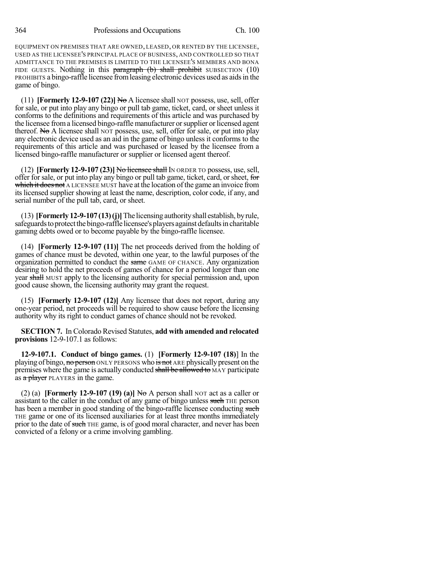EQUIPMENT ON PREMISES THAT ARE OWNED, LEASED, OR RENTED BY THE LICENSEE, USED AS THE LICENSEE'S PRINCIPAL PLACE OF BUSINESS, AND CONTROLLED SO THAT ADMITTANCE TO THE PREMISES IS LIMITED TO THE LICENSEE'S MEMBERS AND BONA FIDE GUESTS. Nothing in this  $\frac{10}{2}$  paragraph (b) shall prohibit SUBSECTION (10) PROHIBITS a bingo-raffle licensee fromleasing electronic devices used as aidsin the game of bingo.

(11) **[Formerly 12-9-107 (22)]** No A licensee shall NOT possess, use, sell, offer for sale, or put into play any bingo or pull tab game, ticket, card, or sheet unless it conforms to the definitions and requirements of this article and was purchased by the licensee froma licensed bingo-raffle manufacturer orsupplier or licensed agent thereof. No A licensee shall NOT possess, use, sell, offer for sale, or put into play any electronic device used as an aid in the game of bingo unless it conforms to the requirements of this article and was purchased or leased by the licensee from a licensed bingo-raffle manufacturer or supplier or licensed agent thereof.

(12) **[Formerly 12-9-107 (23)]** No licensee shall IN ORDER TO possess, use,sell, offer for sale, or put into play any bingo or pull tab game, ticket, card, or sheet, for which it does not A LICENSEE MUST have at the location of the game an invoice from its licensed supplier showing at least the name, description, color code, if any, and serial number of the pull tab, card, or sheet.

(13) **[Formerly12-9-107 (13)(j)]**The licensing authorityshall establish, byrule, safeguards to protect the bingo-raffle licensee's players against defaults in charitable gaming debts owed or to become payable by the bingo-raffle licensee.

(14) **[Formerly 12-9-107 (11)]** The net proceeds derived from the holding of games of chance must be devoted, within one year, to the lawful purposes of the organization permitted to conduct the same GAME OF CHANCE. Any organization desiring to hold the net proceeds of games of chance for a period longer than one year shall MUST apply to the licensing authority for special permission and, upon good cause shown, the licensing authority may grant the request.

(15) **[Formerly 12-9-107 (12)]** Any licensee that does not report, during any one-year period, net proceeds will be required to show cause before the licensing authority why its right to conduct games of chance should not be revoked.

**SECTION 7.** In Colorado Revised Statutes, **add with amended and relocated provisions** 12-9-107.1 as follows:

**12-9-107.1. Conduct of bingo games.** (1) **[Formerly 12-9-107 (18)**] In the playing of bingo, no person ONLY PERSONS who is not ARE physically present on the premises where the game is actually conducted shall be allowed to MAY participate as  $a$  player PLAYERS in the game.

(2) (a) **[Formerly 12-9-107 (19) (a)]**  $H<sub>o</sub>$  **A** person shall NOT act as a caller or assistant to the caller in the conduct of any game of bingo unless such THE person has been a member in good standing of the bingo-raffle licensee conducting such THE game or one of its licensed auxiliaries for at least three months immediately prior to the date of such THE game, is of good moral character, and never has been convicted of a felony or a crime involving gambling.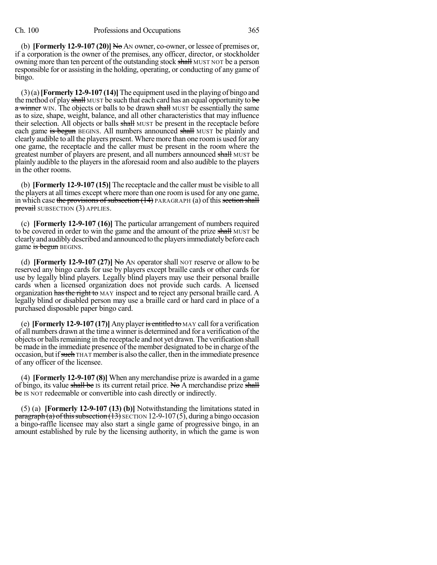(b) **[Formerly 12-9-107 (20)]** No AN owner, co-owner, or lessee of premises or, if a corporation is the owner of the premises, any officer, director, or stockholder owning more than ten percent of the outstanding stock shall MUST NOT be a person responsible for or assisting in the holding, operating, or conducting of any game of bingo.

(3)(a)**[Formerly 12-9-107 (14)]**The equipment used in the playing of bingo and the method of play shall MUST be such that each card has an equal opportunity to be a winner WIN. The objects or balls to be drawn shall MUST be essentially the same as to size, shape, weight, balance, and all other characteristics that may influence their selection. All objects or balls shall MUST be present in the receptacle before each game is begun BEGINS. All numbers announced shall MUST be plainly and clearly audible to all the players present. Where more than one roomis used for any one game, the receptacle and the caller must be present in the room where the greatest number of players are present, and all numbers announced shall MUST be plainly audible to the players in the aforesaid room and also audible to the players in the other rooms.

(b) **[Formerly 12-9-107 (15)]** The receptacle and the caller must be visible to all the players at all times except where more than one roomis used for any one game, in which case the provisions of subsection  $(14)$  PARAGRAPH (a) of this section shall **prevail** SUBSECTION (3) APPLIES.

(c) **[Formerly 12-9-107 (16)]** The particular arrangement of numbers required to be covered in order to win the game and the amount of the prize shall MUST be clearlyandaudiblydescribedandannouncedtotheplayersimmediatelybefore each game is begun BEGINS.

(d) **[Formerly 12-9-107 (27)]** No AN operator shall NOT reserve or allow to be reserved any bingo cards for use by players except braille cards or other cards for use by legally blind players. Legally blind players may use their personal braille cards when a licensed organization does not provide such cards. A licensed organization has the right to MAY inspect and to reject any personal braille card. A legally blind or disabled person may use a braille card or hard card in place of a purchased disposable paper bingo card.

(e) **[Formerly 12-9-107 (17)]** Any player is entitled to MAY call for a verification of all numbers drawn at the time a winner is determined and for a verification of the objects or balls remaining in the receptacle and not yet drawn. The verification shall be made in the immediate presence of the member designated to be in charge of the occasion, but if such THAT member is also the caller, then in the immediate presence of any officer of the licensee.

(4) **[Formerly 12-9-107 (8)]** When any merchandise prize is awarded in a game of bingo, its value shall be IS its current retail price. No A merchandise prize shall be IS NOT redeemable or convertible into cash directly or indirectly.

(5) (a) **[Formerly 12-9-107 (13) (b)]** Notwithstanding the limitations stated in  $\frac{\text{parameter}}{\text{mean}}(a)$  of this subsection (13) SECTION 12-9-107(5), during a bingo occasion a bingo-raffle licensee may also start a single game of progressive bingo, in an amount established by rule by the licensing authority, in which the game is won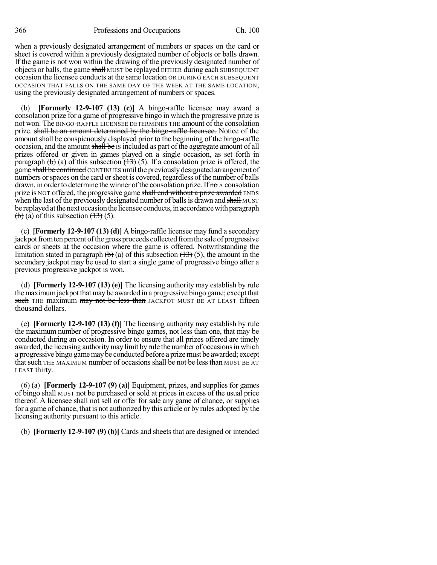when a previously designated arrangement of numbers or spaces on the card or sheet is covered within a previously designated number of objects or balls drawn. If the game is not won within the drawing of the previously designated number of objects or balls, the game shall MUST be replayed EITHER during each SUBSEQUENT occasion the licensee conducts at the same location OR DURING EACH SUBSEQUENT OCCASION THAT FALLS ON THE SAME DAY OF THE WEEK AT THE SAME LOCATION, using the previously designated arrangement of numbers or spaces.

(b) **[Formerly 12-9-107 (13) (c)]** A bingo-raffle licensee may award a consolation prize for a game of progressive bingo in which the progressive prize is not won. The BINGO-RAFFLE LICENSEE DETERMINES THE amount of the consolation prize. shall be an amount determined by the bingo-raffle licensee. Notice of the amount shall be conspicuously displayed prior to the beginning of the bingo-raffle occasion, and the amount shall be IS included as part of the aggregate amount of all prizes offered or given in games played on a single occasion, as set forth in paragraph  $(\theta)$  (a) of this subsection  $(\overline{13})$  (5). If a consolation prize is offered, the game shall be continued CONTINUES until the previouslydesignated arrangement of numbers or spaces on the card or sheet is covered, regardless of the number of balls drawn, in order to determine the winner of the consolation prize. If  $\theta$  a consolation prize is NOT offered, the progressive game shall end without a prize awarded ENDS when the last of the previously designated number of balls is drawn and shall MUST be replayed at the next occasion the licensee conducts, in accordance with paragraph  $\left(\frac{b}{c}\right)$  (a) of this subsection  $\left(\frac{13}{2}\right)$  (5).

(c) **[Formerly 12-9-107 (13) (d)]** A bingo-raffle licensee may fund a secondary jackpot from ten percent of the gross proceeds collected from the sale of progressive cards or sheets at the occasion where the game is offered. Notwithstanding the limitation stated in paragraph  $\left(\frac{1}{b}\right)$  (a) of this subsection  $\left(\frac{13}{2}\right)$  (5), the amount in the secondary jackpot may be used to start a single game of progressive bingo after a previous progressive jackpot is won.

(d) **[Formerly 12-9-107 (13) (e)]** The licensing authority may establish by rule the maximum jackpot that may be awarded in a progressive bingo game; except that such THE maximum may not be less than JACKPOT MUST BE AT LEAST fifteen thousand dollars.

(e) **[Formerly 12-9-107 (13) (f)]** The licensing authority may establish by rule the maximum number of progressive bingo games, not less than one, that may be conducted during an occasion. In order to ensure that all prizes offered are timely awarded, the licensing authority may limit by rule the number of occasions in which a progressive bingo gamemaybe conducted before a prizemust be awarded; except that such THE MAXIMUM number of occasions shall be not be less than MUST BE AT LEAST thirty.

(6) (a) **[Formerly 12-9-107 (9) (a)]** Equipment, prizes, and supplies for games of bingo shall MUST not be purchased or sold at prices in excess of the usual price thereof. A licensee shall not sell or offer for sale any game of chance, or supplies for a game of chance, that is not authorized by this article or by rules adopted by the licensing authority pursuant to this article.

(b) **[Formerly 12-9-107 (9) (b)]** Cards and sheets that are designed or intended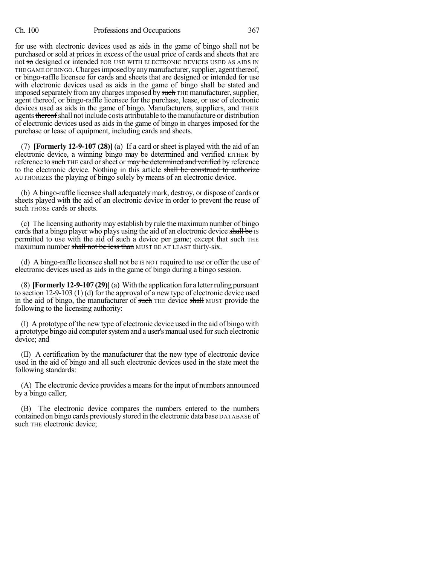for use with electronic devices used as aids in the game of bingo shall not be purchased or sold at prices in excess of the usual price of cards and sheets that are not so designed or intended FOR USE WITH ELECTRONIC DEVICES USED AS AIDS IN THE GAME OF BINGO. Charges imposed by any manufacturer, supplier, agent thereof, or bingo-raffle licensee for cards and sheets that are designed or intended for use with electronic devices used as aids in the game of bingo shall be stated and imposed separately from any charges imposed by such THE manufacturer, supplier, agent thereof, or bingo-raffle licensee for the purchase, lease, or use of electronic devices used as aids in the game of bingo. Manufacturers, suppliers, and THEIR agents thereof shall not include costs attributable to the manufacture or distribution of electronic devices used as aids in the game of bingo in charges imposed for the purchase or lease of equipment, including cards and sheets.

(7) **[Formerly 12-9-107 (28)]** (a) If a card or sheet is played with the aid of an electronic device, a winning bingo may be determined and verified EITHER by reference to such THE card or sheet or may be determined and verified by reference to the electronic device. Nothing in this article shall be construed to authorize AUTHORIZES the playing of bingo solely by means of an electronic device.

(b) A bingo-raffle licensee shall adequately mark, destroy, or dispose of cards or sheets played with the aid of an electronic device in order to prevent the reuse of such THOSE cards or sheets.

(c) The licensing authority may establish by rule the maximum number of bingo cards that a bingo player who plays using the aid of an electronic device shall be IS permitted to use with the aid of such a device per game; except that such THE maximum number shall not be less than MUST BE AT LEAST thirty-six.

(d) A bingo-raffle licensee shall not be IS NOT required to use or offer the use of electronic devices used as aids in the game of bingo during a bingo session.

(8) **[Formerly 12-9-107 (29)]**(a) With the application for a letterruling pursuant to section 12-9-103 (1) (d) for the approval of a new type of electronic device used in the aid of bingo, the manufacturer of such THE device shall MUST provide the following to the licensing authority:

(I) A prototype of the new type of electronic device used in the aid of bingo with a prototype bingo aid computer system and a user's manual used for such electronic device; and

(II) A certification by the manufacturer that the new type of electronic device used in the aid of bingo and all such electronic devices used in the state meet the following standards:

(A) The electronic device provides a meansfor the input of numbers announced by a bingo caller;

(B) The electronic device compares the numbers entered to the numbers contained on bingo cards previously stored in the electronic data base DATABASE of such THE electronic device;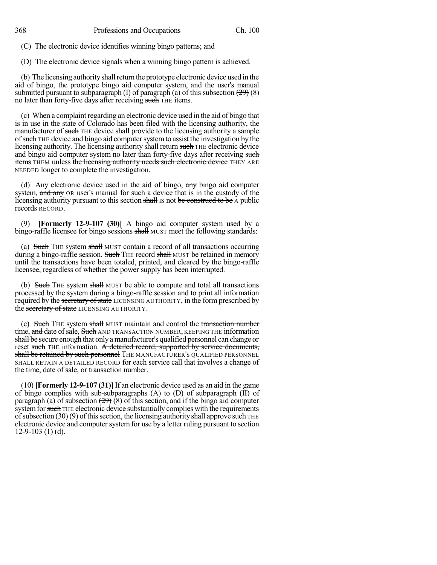(C) The electronic device identifies winning bingo patterns; and

(D) The electronic device signals when a winning bingo pattern is achieved.

(b) The licensing authority shall return the prototype electronic device used in the aid of bingo, the prototype bingo aid computer system, and the user's manual submitted pursuant to subparagraph (I) of paragraph (a) of this subsection  $(29)(8)$ no later than forty-five days after receiving such THE items.

(c) When a complaint regarding an electronic device used in the aid of bingo that is in use in the state of Colorado has been filed with the licensing authority, the manufacturer of such THE device shall provide to the licensing authority a sample of such THE device and bingo aid computer system to assist the investigation by the licensing authority. The licensing authority shall return such THE electronic device and bingo aid computer system no later than forty-five days after receiving such **items** THEM unless the licensing authority needs such electronic device THEY ARE NEEDED longer to complete the investigation.

(d) Any electronic device used in the aid of bingo, any bingo aid computer system, and any OR user's manual for such a device that is in the custody of the licensing authority pursuant to this section shall IS not be construed to be A public records RECORD.

(9) **[Formerly 12-9-107 (30)]** A bingo aid computer system used by a bingo-raffle licensee for bingo sessions shall MUST meet the following standards:

(a) Such THE system shall MUST contain a record of all transactions occurring during a bingo-raffle session. Such THE record shall MUST be retained in memory until the transactions have been totaled, printed, and cleared by the bingo-raffle licensee, regardless of whether the power supply has been interrupted.

(b) Such THE system shall MUST be able to compute and total all transactions processed by the system during a bingo-raffle session and to print all information required by the secretary of state LICENSING AUTHORITY, in the form prescribed by the secretary of state LICENSING AUTHORITY.

(c) Such THE system shall MUST maintain and control the transaction number time, and date of sale, Such AND TRANSACTION NUMBER, KEEPING THE information shall be secure enough that only a manufacturer's qualified personnel can change or reset such THE information. A detailed record, supported by service documents, shall be retained by such personnel THE MANUFACTURER'S QUALIFIED PERSONNEL SHALL RETAIN A DETAILED RECORD for each service call that involves a change of the time, date of sale, or transaction number.

(10) **[Formerly 12-9-107 (31)]** If an electronic device used as an aid in the game of bingo complies with sub-subparagraphs  $(A)$  to  $(D)$  of subparagraph  $(II)$  of paragraph (a) of subsection  $(29)$  (8) of this section, and if the bingo aid computer system for such THE electronic device substantially complies with the requirements of subsection  $(30)(9)$  of this section, the licensing authority shall approve such THE electronic device and computer system for use by a letter ruling pursuant to section  $12-9-103$  (1) (d).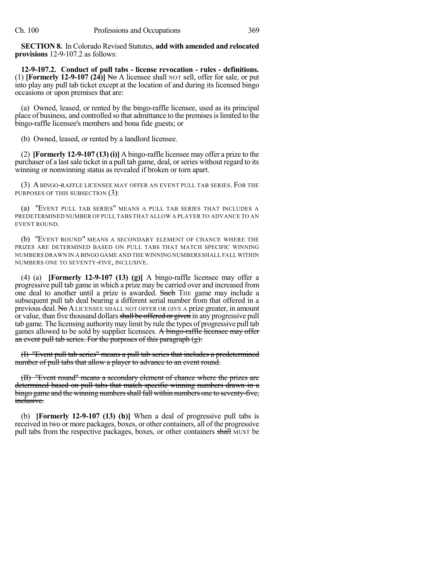**SECTION 8.** In Colorado Revised Statutes, **add with amended and relocated provisions** 12-9-107.2 as follows:

**12-9-107.2. Conduct of pull tabs - license revocation - rules - definitions.** (1) **[Formerly 12-9-107 (24)]** No A licensee shall NOT sell, offer for sale, or put into play any pull tab ticket except at the location of and during its licensed bingo occasions or upon premises that are:

(a) Owned, leased, or rented by the bingo-raffle licensee, used as its principal place of business, and controlled so that admittance to the premisesislimited to the bingo-raffle licensee's members and bona fide guests; or

(b) Owned, leased, or rented by a landlord licensee.

(2) **[Formerly 12-9-107 (13)(i)]** A bingo-raffle licensee may offer a prize to the purchaser of a last sale ticket in a pull tab game, deal, or series without regard to its winning or nonwinning status as revealed if broken or torn apart.

(3) ABINGO-RAFFLE LICENSEE MAY OFFER AN EVENT PULL TAB SERIES. FOR THE PURPOSES OF THIS SUBSECTION (3):

(a) "EVENT PULL TAB SERIES" MEANS A PULL TAB SERIES THAT INCLUDES A PREDETERMINED NUMBER OF PULL TABS THAT ALLOW A PLAYER TO ADVANCE TO AN EVENT ROUND.

(b) "EVENT ROUND" MEANS A SECONDARY ELEMENT OF CHANCE WHERE THE PRIZES ARE DETERMINED BASED ON PULL TABS THAT MATCH SPECIFIC WINNING NUMBERS DRAWN IN A BINGO GAME AND THE WINNING NUMBERS SHALL FALL WITHIN NUMBERS ONE TO SEVENTY-FIVE, INCLUSIVE.

(4) (a) **[Formerly 12-9-107 (13) (g)]** A bingo-raffle licensee may offer a progressive pull tab game in which a prize may be carried over and increased from one deal to another until a prize is awarded. Such THE game may include a subsequent pull tab deal bearing a different serial number from that offered in a previous deal. No ALICENSEE SHALL NOT OFFER OR GIVE A prize greater, in amount or value, than five thousand dollars shall be offered or given in any progressive pull tab game. The licensing authoritymay limit by rule the types of progressive pull tab games allowed to be sold by supplier licensees. A bingo-raffle licensee may offer an event pull tab series. For the purposes of this paragraph (g):

(I) "Event pull tab series" means a pull tab series that includes a predetermined number of pull tabs that allow a player to advance to an event round.

(II) "Event round" means a secondary element of chance where the prizes are determined based on pull tabs that match specific winning numbers drawn in a bingo game and the winning numbers shall fall within numbers one to seventy-five, inclusive.

(b) **[Formerly 12-9-107 (13) (h)]** When a deal of progressive pull tabs is received in two or more packages, boxes, or other containers, all of the progressive pull tabs from the respective packages, boxes, or other containers shall MUST be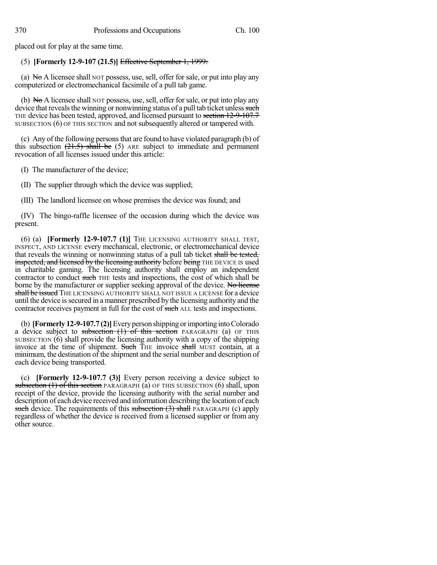placed out for play at the same time.

## (5) **[Formerly 12-9-107 (21.5)]** Effective September 1, 1999:

(a)  $N\sigma A$  licensee shall NOT possess, use, sell, offer for sale, or put into play any computerized or electromechanical facsimile of a pull tab game.

(b)  $N\sigma A$  licensee shall NOT possess, use, sell, offer for sale, or put into play any device that reveals the winning or nonwinning status of a pull tab ticket unless such THE device has been tested, approved, and licensed pursuant to section 12-9-107.7 SUBSECTION (6) OF THIS SECTION and not subsequently altered or tampered with.

(c) Any of the following persons that are found to have violated paragraph  $(b)$  of this subsection  $(21.5)$  shall be  $(5)$  ARE subject to immediate and permanent revocation of all licenses issued under this article:

(I) The manufacturer of the device;

(II) The supplier through which the device was supplied;

(III) The landlord licensee on whose premises the device was found; and

(IV) The bingo-raffle licensee of the occasion during which the device was present.

(6) (a) **[Formerly 12-9-107.7 (1)]** THE LICENSING AUTHORITY SHALL TEST, INSPECT, AND LICENSE every mechanical, electronic, or electromechanical device that reveals the winning or nonwinning status of a pull tab ticket shall be tested, inspected, and licensed by the licensing authority before being THE DEVICE IS used in charitable gaming. The licensing authority shall employ an independent contractor to conduct such THE tests and inspections, the cost of which shall be borne by the manufacturer or supplier seeking approval of the device. No license shall be issued THE LICENSING AUTHORITY SHALL NOT ISSUE A LICENSE for a device until the device issecured in a manner prescribed by the licensing authority and the contractor receives payment in full for the cost of such ALL tests and inspections.

(b) **[Formerly 12-9-107.7 (2)]**Everyperson shipping orimporting intoColorado a device subject to subsection  $(1)$  of this section PARAGRAPH (a) OF THIS SUBSECTION (6) shall provide the licensing authority with a copy of the shipping invoice at the time of shipment. Such THE invoice shall MUST contain, at a minimum, the destination of the shipment and the serial number and description of each device being transported.

(c) **[Formerly 12-9-107.7 (3)]** Every person receiving a device subject to subsection (1) of this section PARAGRAPH (a) OF THIS SUBSECTION (6) shall, upon receipt of the device, provide the licensing authority with the serial number and description of each device received and information describing the location of each such device. The requirements of this subsection  $(3)$  shall PARAGRAPH (c) apply regardless of whether the device is received from a licensed supplier or from any other source.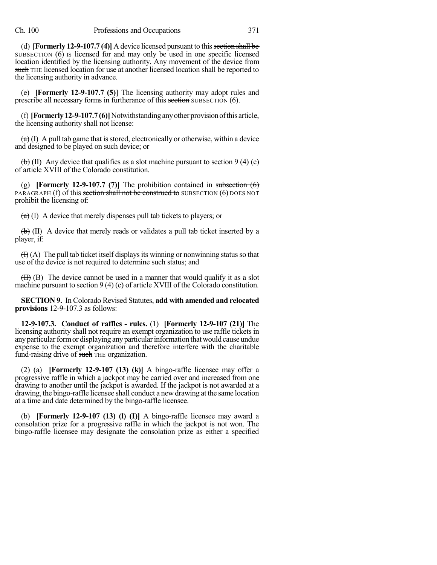(d) **[Formerly 12-9-107.7 (4)]** A device licensed pursuant to thissection shall be SUBSECTION (6) IS licensed for and may only be used in one specific licensed location identified by the licensing authority. Any movement of the device from such THE licensed location for use at another licensed location shall be reported to the licensing authority in advance.

(e) **[Formerly 12-9-107.7 (5)]** The licensing authority may adopt rules and prescribe all necessary forms in furtherance of this section SUBSECTION (6).

(f) **[Formerly12-9-107.7(6)]**Notwithstandinganyother provisionofthis article, the licensing authority shall not license:

 $(a)$  (I) A pull tab game that is stored, electronically or otherwise, within a device and designed to be played on such device; or

 $\left(\frac{b}{b}\right)$  (II) Any device that qualifies as a slot machine pursuant to section 9 (4) (c) of article XVIII of the Colorado constitution.

(g) **[Formerly 12-9-107.7 (7)]** The prohibition contained in subsection (6) PARAGRAPH (f) of this section shall not be construed to SUBSECTION (6) DOES NOT prohibit the licensing of:

 $(a)$  (I) A device that merely dispenses pull tab tickets to players; or

 $(\theta)$  (II) A device that merely reads or validates a pull tab ticket inserted by a player, if:

 $(H)$  (A) The pull tab ticket itself displays its winning or nonwinning status so that use of the device is not required to determine such status; and

 $(H)$  (B) The device cannot be used in a manner that would qualify it as a slot machine pursuant to section 9 (4) (c) of article XVIII of the Colorado constitution.

**SECTION 9.** In Colorado Revised Statutes, **add with amended and relocated provisions** 12-9-107.3 as follows:

**12-9-107.3. Conduct of raffles - rules.** (1) **[Formerly 12-9-107 (21)]** The licensing authority shall not require an exempt organization to use raffle tickets in any particular form or displaying any particular information that would cause undue expense to the exempt organization and therefore interfere with the charitable fund-raising drive of such THE organization.

(2) (a) **[Formerly 12-9-107 (13) (k)]** A bingo-raffle licensee may offer a progressive raffle in which a jackpot may be carried over and increased from one drawing to another until the jackpot is awarded. If the jackpot is not awarded at a drawing, the bingo-raffle licensee shall conduct a newdrawing at the same location at a time and date determined by the bingo-raffle licensee.

(b) **[Formerly 12-9-107 (13) (l) (I)]** A bingo-raffle licensee may award a consolation prize for a progressive raffle in which the jackpot is not won. The bingo-raffle licensee may designate the consolation prize as either a specified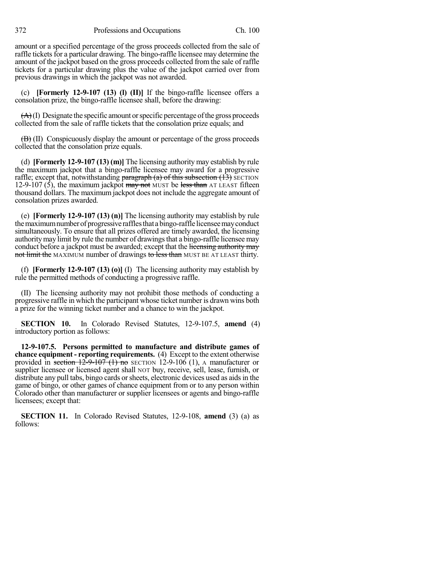amount or a specified percentage of the gross proceeds collected from the sale of raffle tickets for a particular drawing. The bingo-raffle licensee may determine the amount of the jackpot based on the gross proceeds collected from the sale of raffle tickets for a particular drawing plus the value of the jackpot carried over from previous drawings in which the jackpot was not awarded.

(c) **[Formerly 12-9-107 (13) (l) (II)]** If the bingo-raffle licensee offers a consolation prize, the bingo-raffle licensee shall, before the drawing:

 $(A)(I)$  Designate the specific amount or specific percentage of the gross proceeds collected from the sale of raffle tickets that the consolation prize equals; and

 $\overline{(B)}$  (II) Conspicuously display the amount or percentage of the gross proceeds collected that the consolation prize equals.

(d) **[Formerly 12-9-107 (13) (m)]** The licensing authority may establish by rule the maximum jackpot that a bingo-raffle licensee may award for a progressive raffle; except that, notwithstanding paragraph  $(a)$  of this subsection  $(13)$  SECTION 12-9-107 (5), the maximum jackpot may not MUST be less than AT LEAST fifteen thousand dollars. The maximum jackpot does not include the aggregate amount of consolation prizes awarded.

(e) **[Formerly 12-9-107 (13) (n)]** The licensing authority may establish by rule themaximumnumberof progressive rafflesthat abingo-raffle licenseemayconduct simultaneously. To ensure that all prizes offered are timely awarded, the licensing authoritymay limit by rule the number of drawingsthat a bingo-raffle licensee may conduct before a jackpot must be awarded; except that the licensing authority may not limit the MAXIMUM number of drawings to less than MUST BE AT LEAST thirty.

(f) **[Formerly 12-9-107 (13) (o)]** (I) The licensing authority may establish by rule the permitted methods of conducting a progressive raffle.

(II) The licensing authority may not prohibit those methods of conducting a progressive raffle in which the participant whose ticket number is drawn wins both a prize for the winning ticket number and a chance to win the jackpot.

**SECTION 10.** In Colorado Revised Statutes, 12-9-107.5, **amend** (4) introductory portion as follows:

**12-9-107.5. Persons permitted to manufacture and distribute games of chance equipment - reporting requirements.** (4) Except to the extent otherwise provided in section  $12-9-107$  (1) no SECTION 12-9-106 (1), A manufacturer or supplier licensee or licensed agent shall NOT buy, receive, sell, lease, furnish, or distribute any pull tabs, bingo cards or sheets, electronic devices used as aids in the game of bingo, or other games of chance equipment from or to any person within Colorado other than manufacturer or supplier licensees or agents and bingo-raffle licensees; except that:

**SECTION 11.** In Colorado Revised Statutes, 12-9-108, **amend** (3) (a) as follows: